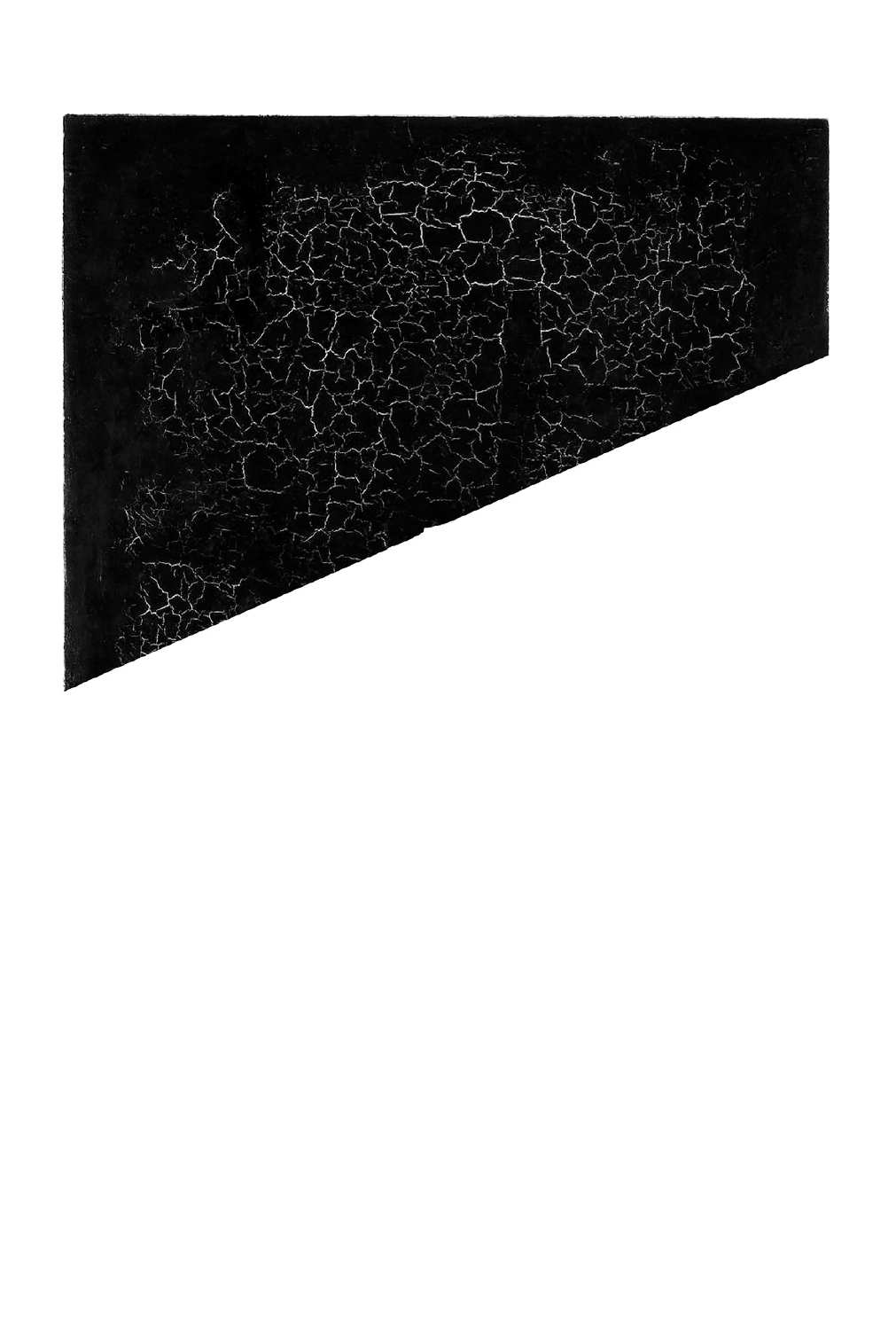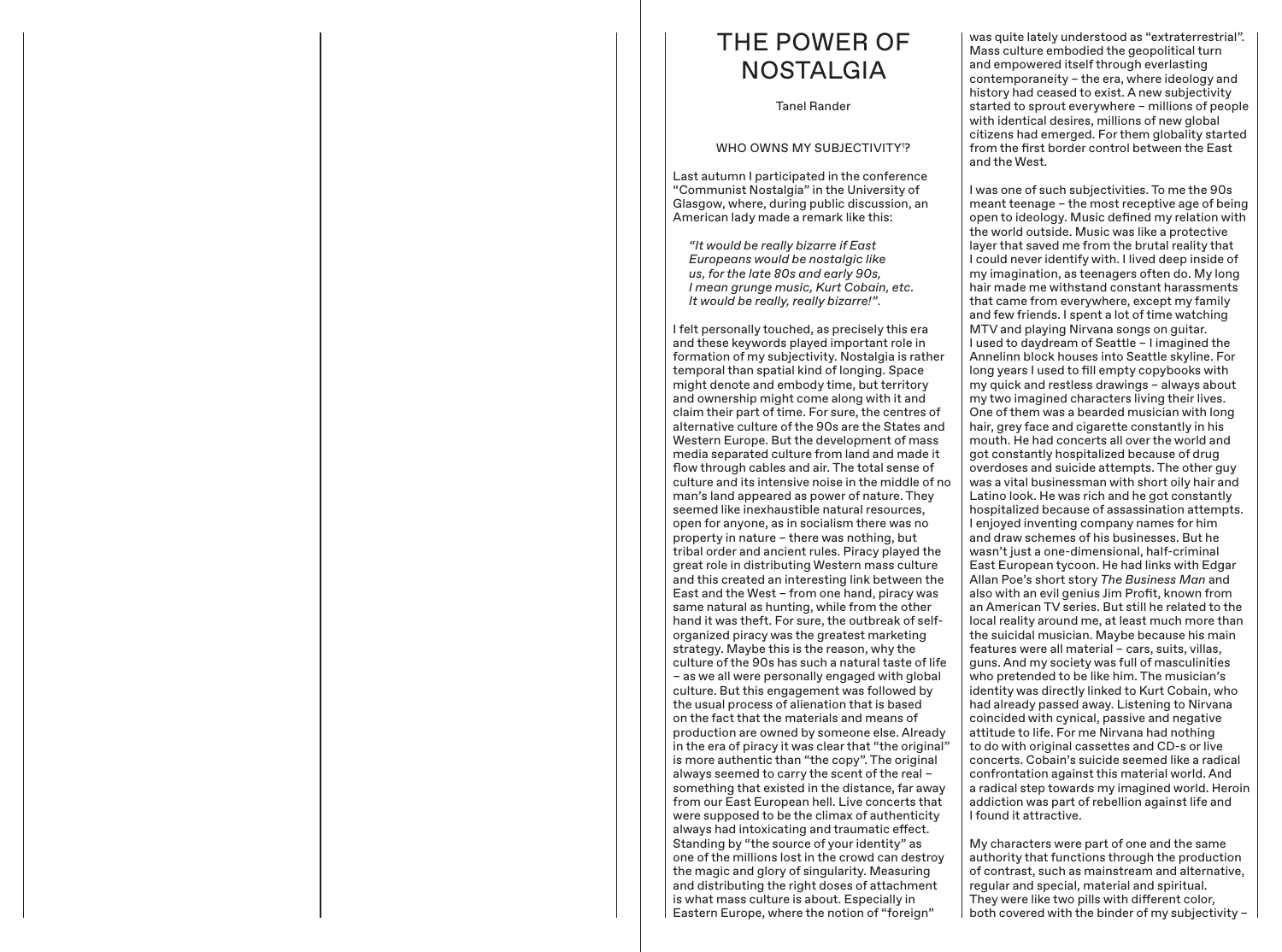# THE POWER OF NOSTALGIA

#### Tanel Rander

#### WHO OWNS MY SUBJECTIVITY<sup>1</sup>?

Last autumn I participated in the conference "Communist Nostalgia" in the University of Glasgow, where, during public discussion, an American lady made a remark like this:

*"It would be really bizarre if East Europeans would be nostalgic like us, for the late 80s and early 90s, I mean grunge music, Kurt Cobain, etc. It would be really, really bizarre!"*.

I felt personally touched, as precisely this era and these keywords played important role in formation of my subjectivity. Nostalgia is rather temporal than spatial kind of longing. Space might denote and embody time, but territory and ownership might come along with it and claim their part of time. For sure, the centres of alternative culture of the 90s are the States and Western Europe. But the development of mass media separated culture from land and made it flow through cables and air. The total sense of culture and its intensive noise in the middle of no man's land appeared as power of nature. They seemed like inexhaustible natural resources, open for anyone, as in socialism there was no property in nature – there was nothing, but tribal order and ancient rules. Piracy played the great role in distributing Western mass culture and this created an interesting link between the East and the West – from one hand, piracy was same natural as hunting, while from the other hand it was theft. For sure, the outbreak of selforganized piracy was the greatest marketing strategy. Maybe this is the reason, why the culture of the 90s has such a natural taste of life – as we all were personally engaged with global culture. But this engagement was followed by the usual process of alienation that is based on the fact that the materials and means of production are owned by someone else. Already in the era of piracy it was clear that "the original" is more authentic than "the copy". The original always seemed to carry the scent of the real – something that existed in the distance, far away from our East European hell. Live concerts that were supposed to be the climax of authenticity always had intoxicating and traumatic effect. Standing by "the source of your identity" as one of the millions lost in the crowd can destroy the magic and glory of singularity. Measuring and distributing the right doses of attachment is what mass culture is about. Especially in Eastern Europe, where the notion of "foreign"

was quite lately understood as "extraterrestrial". Mass culture embodied the geopolitical turn and empowered itself through everlasting contemporaneity – the era, where ideology and history had ceased to exist. A new subjectivity started to sprout everywhere – millions of people with identical desires, millions of new global citizens had emerged. For them globality started from the first border control between the East and the West.

I was one of such subjectivities. To me the 90s meant teenage – the most receptive age of being open to ideology. Music defined my relation with the world outside. Music was like a protective layer that saved me from the brutal reality that I could never identify with. I lived deep inside of my imagination, as teenagers often do. My long hair made me withstand constant harassments that came from everywhere, except my family and few friends. I spent a lot of time watching MTV and playing Nirvana songs on guitar. I used to daydream of Seattle – I imagined the Annelinn block houses into Seattle skyline. For long years I used to fill empty copybooks with my quick and restless drawings – always about my two imagined characters living their lives. One of them was a bearded musician with long hair, grey face and cigarette constantly in his mouth. He had concerts all over the world and got constantly hospitalized because of drug overdoses and suicide attempts. The other guy was a vital businessman with short oily hair and Latino look. He was rich and he got constantly hospitalized because of assassination attempts. I enjoyed inventing company names for him and draw schemes of his businesses. But he wasn't just a one-dimensional, half-criminal East European tycoon. He had links with Edgar Allan Poe's short story *The Business Man* and also with an evil genius Jim Profit, known from an American TV series. But still he related to the local reality around me, at least much more than the suicidal musician. Maybe because his main features were all material – cars, suits, villas, guns. And my society was full of masculinities who pretended to be like him. The musician's identity was directly linked to Kurt Cobain, who had already passed away. Listening to Nirvana coincided with cynical, passive and negative attitude to life. For me Nirvana had nothing to do with original cassettes and CD-s or live concerts. Cobain's suicide seemed like a radical confrontation against this material world. And a radical step towards my imagined world. Heroin addiction was part of rebellion against life and I found it attractive.

My characters were part of one and the same authority that functions through the production of contrast, such as mainstream and alternative, regular and special, material and spiritual. They were like two pills with different color, both covered with the binder of my subjectivity –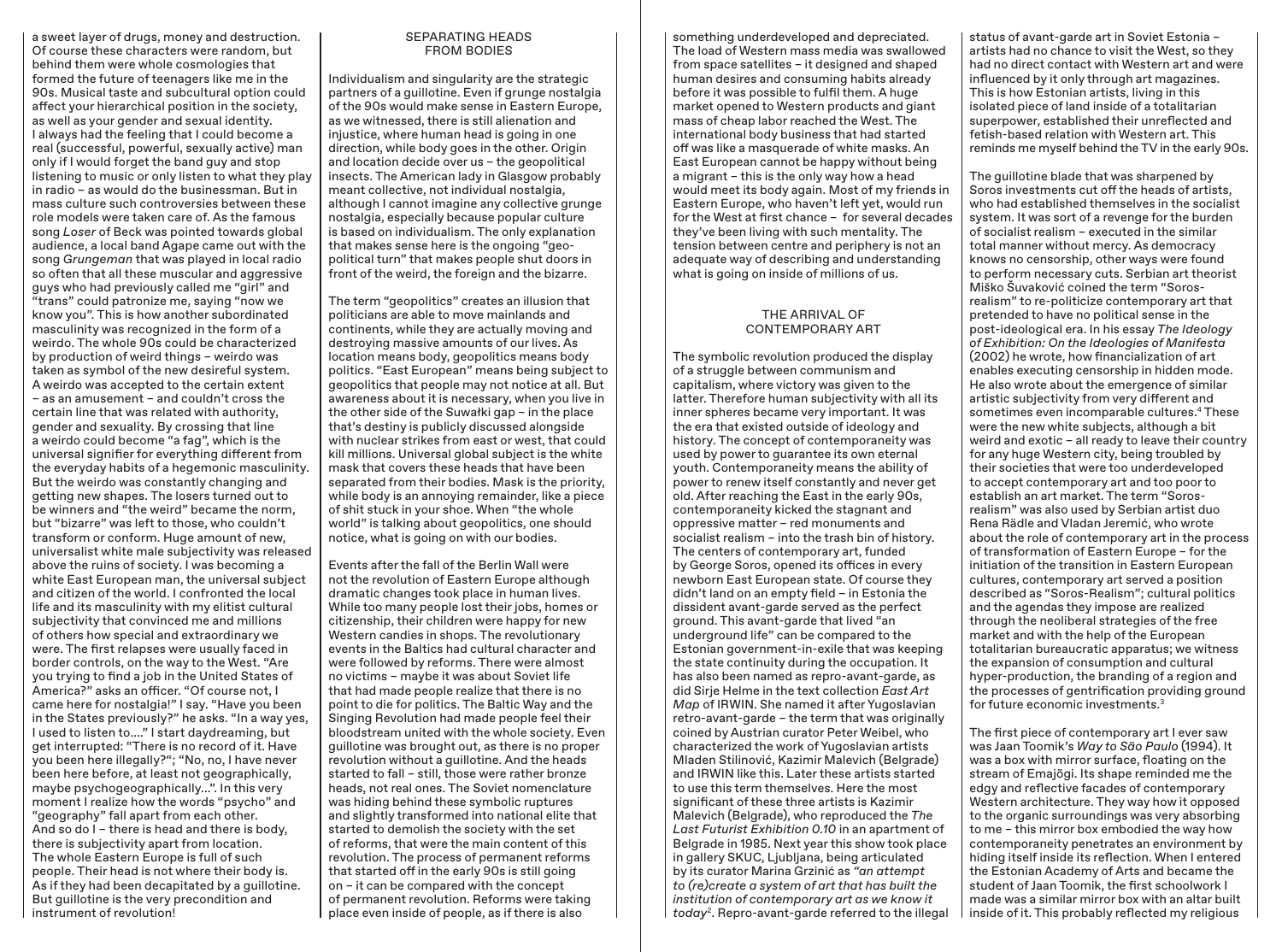something underdeveloped and depreciated. The load of Western mass media was swallowed from space satellites – it designed and shaped human desires and consuming habits already before it was possible to fulfil them. A huge market opened to Western products and giant mass of cheap labor reached the West. The international body business that had started off was like a masquerade of white masks. An East European cannot be happy without being a migrant – this is the only way how a head would meet its body again. Most of my friends in Eastern Europe, who haven't left yet, would run for the West at first chance – for several decades they've been living with such mentality. The tension between centre and periphery is not an adequate way of describing and understanding what is going on inside of millions of us.

## THE ARRIVAL OF CONTEMPORARY ART

The symbolic revolution produced the display of a struggle between communism and capitalism, where victory was given to the latter. Therefore human subjectivity with all its inner spheres became very important. It was the era that existed outside of ideology and history. The concept of contemporaneity was used by power to guarantee its own eternal youth. Contemporaneity means the ability of power to renew itself constantly and never get old. After reaching the East in the early 90s, contemporaneity kicked the stagnant and oppressive matter – red monuments and socialist realism – into the trash bin of history. The centers of contemporary art, funded by George Soros, opened its offices in every newborn East European state. Of course they didn't land on an empty field – in Estonia the dissident avant-garde served as the perfect ground. This avant-garde that lived "an underground life" can be compared to the Estonian government-in-exile that was keeping the state continuity during the occupation. It has also been named as repro-avant-garde, as did Sirje Helme in the text collection *East Art Map* of IRWIN. She named it after Yugoslavian retro-avant-garde – the term that was originally coined by Austrian curator Peter Weibel, who characterized the work of Yugoslavian artists Mladen Stilinović, Kazimir Malevich (Belgrade) and IRWIN like this. Later these artists started to use this term themselves. Here the most significant of these three artists is Kazimir Malevich (Belgrade), who reproduced the *The Last Futurist Exhibition 0.10* in an apartment of Belgrade in 1985. Next year this show took place in gallery SKUC, Ljubljana, being articulated by its curator Marina Grzinić as *"an attempt to (re)create a system of art that has built the institution of contemporary art as we know it today*2. Repro-avant-garde referred to the illegal

status of avant-garde art in Soviet Estonia – artists had no chance to visit the West, so they had no direct contact with Western art and were influenced by it only through art magazines. This is how Estonian artists, living in this isolated piece of land inside of a totalitarian superpower, established their unreflected and fetish-based relation with Western art. This reminds me myself behind the TV in the early 90s.

The guillotine blade that was sharpened by Soros investments cut off the heads of artists, who had established themselves in the socialist system. It was sort of a revenge for the burden of socialist realism – executed in the similar total manner without mercy. As democracy knows no censorship, other ways were found to perform necessary cuts. Serbian art theorist Miško Šuvaković coined the term "Sorosrealism" to re-politicize contemporary art that pretended to have no political sense in the post-ideological era. In his essay *The Ideology of Exhibition: On the Ideologies of Manifesta* (2002) he wrote, how financialization of art enables executing censorship in hidden mode. He also wrote about the emergence of similar artistic subjectivity from very different and sometimes even incomparable cultures.<sup>4</sup> These were the new white subjects, although a bit weird and exotic – all ready to leave their country for any huge Western city, being troubled by their societies that were too underdeveloped to accept contemporary art and too poor to establish an art market. The term "Sorosrealism" was also used by Serbian artist duo Rena Rädle and Vladan Jeremić, who wrote about the role of contemporary art in the process of transformation of Eastern Europe – for the initiation of the transition in Eastern European cultures, contemporary art served a position described as "Soros-Realism"; cultural politics and the agendas they impose are realized through the neoliberal strategies of the free market and with the help of the European totalitarian bureaucratic apparatus; we witness the expansion of consumption and cultural hyper-production, the branding of a region and the processes of gentrification providing ground for future economic investments.3

The first piece of contemporary art I ever saw was Jaan Toomik's *Way to São Paulo* (1994). It was a box with mirror surface, floating on the stream of Emajõgi. Its shape reminded me the edgy and reflective facades of contemporary Western architecture. They way how it opposed to the organic surroundings was very absorbing to me – this mirror box embodied the way how contemporaneity penetrates an environment by hiding itself inside its reflection. When I entered the Estonian Academy of Arts and became the student of Jaan Toomik, the first schoolwork I made was a similar mirror box with an altar built inside of it. This probably reflected my religious

a sweet layer of drugs, money and destruction. Of course these characters were random, but behind them were whole cosmologies that formed the future of teenagers like me in the 90s. Musical taste and subcultural option could affect your hierarchical position in the society, as well as your gender and sexual identity. I always had the feeling that I could become a real (successful, powerful, sexually active) man only if I would forget the band guy and stop listening to music or only listen to what they play in radio – as would do the businessman. But in mass culture such controversies between these role models were taken care of. As the famous song *Loser* of Beck was pointed towards global audience, a local band Agape came out with the song *Grungeman* that was played in local radio so often that all these muscular and aggressive guys who had previously called me "girl" and "trans" could patronize me, saying "now we know you". This is how another subordinated masculinity was recognized in the form of a weirdo. The whole 90s could be characterized by production of weird things – weirdo was taken as symbol of the new desireful system. A weirdo was accepted to the certain extent – as an amusement – and couldn't cross the certain line that was related with authority, gender and sexuality. By crossing that line a weirdo could become "a fag", which is the universal signifier for everything different from the everyday habits of a hegemonic masculinity. But the weirdo was constantly changing and getting new shapes. The losers turned out to be winners and "the weird" became the norm, but "bizarre" was left to those, who couldn't transform or conform. Huge amount of new, universalist white male subjectivity was released above the ruins of society. I was becoming a white East European man, the universal subject and citizen of the world. I confronted the local life and its masculinity with my elitist cultural subjectivity that convinced me and millions of others how special and extraordinary we were. The first relapses were usually faced in border controls, on the way to the West. "Are you trying to find a job in the United States of America?" asks an officer. "Of course not, I came here for nostalgia!" I say. "Have you been in the States previously?" he asks. "In a way yes, I used to listen to...." I start daydreaming, but get interrupted: "There is no record of it. Have you been here illegally?"; "No, no, I have never been here before, at least not geographically, maybe psychogeographically...". In this very moment I realize how the words "psycho" and "geography" fall apart from each other. And so do I – there is head and there is body, there is subjectivity apart from location. The whole Eastern Europe is full of such people. Their head is not where their body is. As if they had been decapitated by a guillotine. But guillotine is the very precondition and instrument of revolution!

### SEPARATING HEADS FROM BODIES

Individualism and singularity are the strategic partners of a guillotine. Even if grunge nostalgia of the 90s would make sense in Eastern Europe, as we witnessed, there is still alienation and injustice, where human head is going in one direction, while body goes in the other. Origin and location decide over us – the geopolitical insects. The American lady in Glasgow probably meant collective, not individual nostalgia, although I cannot imagine any collective grunge nostalgia, especially because popular culture is based on individualism. The only explanation that makes sense here is the ongoing "geopolitical turn" that makes people shut doors in front of the weird, the foreign and the bizarre.

The term "geopolitics" creates an illusion that politicians are able to move mainlands and continents, while they are actually moving and destroying massive amounts of our lives. As location means body, geopolitics means body politics. "East European" means being subject to geopolitics that people may not notice at all. But awareness about it is necessary, when you live in the other side of the Suwałki gap – in the place that's destiny is publicly discussed alongside with nuclear strikes from east or west, that could kill millions. Universal global subject is the white mask that covers these heads that have been separated from their bodies. Mask is the priority, while body is an annoying remainder, like a piece of shit stuck in your shoe. When "the whole world" is talking about geopolitics, one should notice, what is going on with our bodies.

Events after the fall of the Berlin Wall were not the revolution of Eastern Europe although dramatic changes took place in human lives. While too many people lost their jobs, homes or citizenship, their children were happy for new Western candies in shops. The revolutionary events in the Baltics had cultural character and were followed by reforms. There were almost no victims – maybe it was about Soviet life that had made people realize that there is no point to die for politics. The Baltic Way and the Singing Revolution had made people feel their bloodstream united with the whole society. Even guillotine was brought out, as there is no proper revolution without a guillotine. And the heads started to fall – still, those were rather bronze heads, not real ones. The Soviet nomenclature was hiding behind these symbolic ruptures and slightly transformed into national elite that started to demolish the society with the set of reforms, that were the main content of this revolution. The process of permanent reforms that started off in the early 90s is still going on – it can be compared with the concept of permanent revolution. Reforms were taking place even inside of people, as if there is also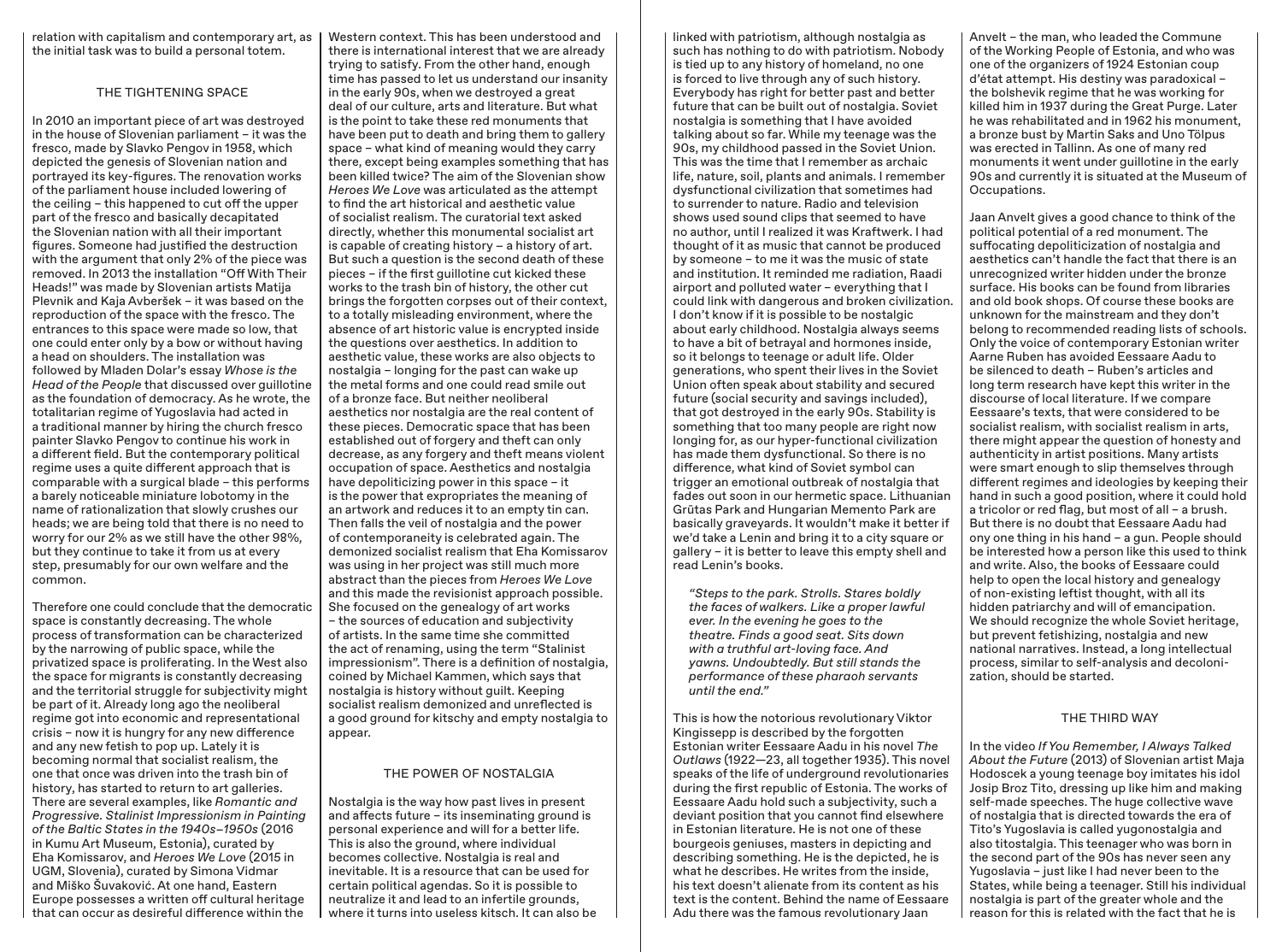linked with patriotism, although nostalgia as such has nothing to do with patriotism. Nobody is tied up to any history of homeland, no one is forced to live through any of such history. Everybody has right for better past and better future that can be built out of nostalgia. Soviet nostalgia is something that I have avoided talking about so far. While my teenage was the 90s, my childhood passed in the Soviet Union. This was the time that I remember as archaic life, nature, soil, plants and animals. I remember dysfunctional civilization that sometimes had to surrender to nature. Radio and television shows used sound clips that seemed to have no author, until I realized it was Kraftwerk. I had thought of it as music that cannot be produced by someone – to me it was the music of state and institution. It reminded me radiation, Raadi airport and polluted water – everything that I could link with dangerous and broken civilization. I don't know if it is possible to be nostalgic about early childhood. Nostalgia always seems to have a bit of betrayal and hormones inside, so it belongs to teenage or adult life. Older generations, who spent their lives in the Soviet Union often speak about stability and secured future (social security and savings included), that got destroyed in the early 90s. Stability is something that too many people are right now longing for, as our hyper-functional civilization has made them dysfunctional. So there is no difference, what kind of Soviet symbol can trigger an emotional outbreak of nostalgia that fades out soon in our hermetic space. Lithuanian Grūtas Park and Hungarian Memento Park are basically graveyards. It wouldn't make it better if we'd take a Lenin and bring it to a city square or gallery – it is better to leave this empty shell and read Lenin's books.

*"Steps to the park. Strolls. Stares boldly the faces of walkers. Like a proper lawful ever. In the evening he goes to the theatre. Finds a good seat. Sits down with a truthful art-loving face. And yawns. Undoubtedly. But still stands the performance of these pharaoh servants until the end."*

This is how the notorious revolutionary Viktor Kingissepp is described by the forgotten Estonian writer Eessaare Aadu in his novel *The Outlaws* (1922—23, all together 1935). This novel speaks of the life of underground revolutionaries during the first republic of Estonia. The works of Eessaare Aadu hold such a subjectivity, such a deviant position that you cannot find elsewhere in Estonian literature. He is not one of these bourgeois geniuses, masters in depicting and describing something. He is the depicted, he is what he describes. He writes from the inside, his text doesn't alienate from its content as his text is the content. Behind the name of Eessaare Adu there was the famous revolutionary Jaan

Anvelt – the man, who leaded the Commune of the Working People of Estonia, and who was one of the organizers of 1924 Estonian coup d'état attempt. His destiny was paradoxical – the bolshevik regime that he was working for killed him in 1937 during the Great Purge. Later he was rehabilitated and in 1962 his monument, a bronze bust by Martin Saks and Uno Tölpus was erected in Tallinn. As one of many red monuments it went under guillotine in the early 90s and currently it is situated at the Museum of Occupations.

Jaan Anvelt gives a good chance to think of the political potential of a red monument. The suffocating depoliticization of nostalgia and aesthetics can't handle the fact that there is an unrecognized writer hidden under the bronze surface. His books can be found from libraries and old book shops. Of course these books are unknown for the mainstream and they don't belong to recommended reading lists of schools. Only the voice of contemporary Estonian writer Aarne Ruben has avoided Eessaare Aadu to be silenced to death – Ruben's articles and long term research have kept this writer in the discourse of local literature. If we compare Eessaare's texts, that were considered to be socialist realism, with socialist realism in arts, there might appear the question of honesty and authenticity in artist positions. Many artists were smart enough to slip themselves through different regimes and ideologies by keeping their hand in such a good position, where it could hold a tricolor or red flag, but most of all – a brush. But there is no doubt that Eessaare Aadu had ony one thing in his hand – a gun. People should be interested how a person like this used to think and write. Also, the books of Eessaare could help to open the local history and genealogy of non-existing leftist thought, with all its hidden patriarchy and will of emancipation. We should recognize the whole Soviet heritage, but prevent fetishizing, nostalgia and new national narratives. Instead, a long intellectual process, similar to self-analysis and decolonization, should be started.

### THE THIRD WAY

In the video *If You Remember, I Always Talked About the Future* (2013) of Slovenian artist Maja Hodoscek a young teenage boy imitates his idol Josip Broz Tito, dressing up like him and making self-made speeches. The huge collective wave of nostalgia that is directed towards the era of Tito's Yugoslavia is called yugonostalgia and also titostalgia. This teenager who was born in the second part of the 90s has never seen any Yugoslavia – just like I had never been to the States, while being a teenager. Still his individual nostalgia is part of the greater whole and the reason for this is related with the fact that he is

relation with capitalism and contemporary art, as the initial task was to build a personal totem.

# THE TIGHTENING SPACE

In 2010 an important piece of art was destroyed in the house of Slovenian parliament – it was the fresco, made by Slavko Pengov in 1958, which depicted the genesis of Slovenian nation and portrayed its key-figures. The renovation works of the parliament house included lowering of the ceiling – this happened to cut off the upper part of the fresco and basically decapitated the Slovenian nation with all their important figures. Someone had justified the destruction with the argument that only 2% of the piece was removed. In 2013 the installation "Off With Their Heads!" was made by Slovenian artists Matija Plevnik and Kaja Avberšek – it was based on the reproduction of the space with the fresco. The entrances to this space were made so low, that one could enter only by a bow or without having a head on shoulders. The installation was followed by Mladen Dolar's essay *Whose is the Head of the People* that discussed over guillotine as the foundation of democracy. As he wrote, the totalitarian regime of Yugoslavia had acted in a traditional manner by hiring the church fresco painter Slavko Pengov to continue his work in a different field. But the contemporary political regime uses a quite different approach that is comparable with a surgical blade – this performs a barely noticeable miniature lobotomy in the name of rationalization that slowly crushes our heads; we are being told that there is no need to worry for our 2% as we still have the other 98%, but they continue to take it from us at every step, presumably for our own welfare and the common.

Therefore one could conclude that the democratic space is constantly decreasing. The whole process of transformation can be characterized by the narrowing of public space, while the privatized space is proliferating. In the West also the space for migrants is constantly decreasing and the territorial struggle for subjectivity might be part of it. Already long ago the neoliberal regime got into economic and representational crisis – now it is hungry for any new difference and any new fetish to pop up. Lately it is becoming normal that socialist realism, the one that once was driven into the trash bin of history, has started to return to art galleries. There are several examples, like *Romantic and Progressive. Stalinist Impressionism in Painting of the Baltic States in the 1940s−1950s* (2016 in Kumu Art Museum, Estonia), curated by Eha Komissarov, and *Heroes We Love* (2015 in UGM, Slovenia), curated by Simona Vidmar and Miško Šuvaković. At one hand, Eastern Europe possesses a written off cultural heritage that can occur as desireful difference within the

Western context. This has been understood and there is international interest that we are already trying to satisfy. From the other hand, enough time has passed to let us understand our insanity in the early 90s, when we destroyed a great deal of our culture, arts and literature. But what is the point to take these red monuments that have been put to death and bring them to gallery space – what kind of meaning would they carry there, except being examples something that has been killed twice? The aim of the Slovenian show *Heroes We Love* was articulated as the attempt to find the art historical and aesthetic value of socialist realism. The curatorial text asked directly, whether this monumental socialist art is capable of creating history − a history of art. But such a question is the second death of these pieces – if the first guillotine cut kicked these works to the trash bin of history, the other cut brings the forgotten corpses out of their context, to a totally misleading environment, where the absence of art historic value is encrypted inside the questions over aesthetics. In addition to aesthetic value, these works are also objects to nostalgia – longing for the past can wake up the metal forms and one could read smile out of a bronze face. But neither neoliberal aesthetics nor nostalgia are the real content of these pieces. Democratic space that has been established out of forgery and theft can only decrease, as any forgery and theft means violent occupation of space. Aesthetics and nostalgia have depoliticizing power in this space – it is the power that expropriates the meaning of an artwork and reduces it to an empty tin can. Then falls the veil of nostalgia and the power of contemporaneity is celebrated again. The demonized socialist realism that Eha Komissarov was using in her project was still much more abstract than the pieces from *Heroes We Love* and this made the revisionist approach possible. She focused on the genealogy of art works – the sources of education and subjectivity of artists. In the same time she committed the act of renaming, using the term "Stalinist impressionism". There is a definition of nostalgia, coined by Michael Kammen, which says that nostalgia is history without guilt. Keeping socialist realism demonized and unreflected is a good ground for kitschy and empty nostalgia to appear.

# THE POWER OF NOSTALGIA

Nostalgia is the way how past lives in present and affects future – its inseminating ground is personal experience and will for a better life. This is also the ground, where individual becomes collective. Nostalgia is real and inevitable. It is a resource that can be used for certain political agendas. So it is possible to neutralize it and lead to an infertile grounds, where it turns into useless kitsch. It can also be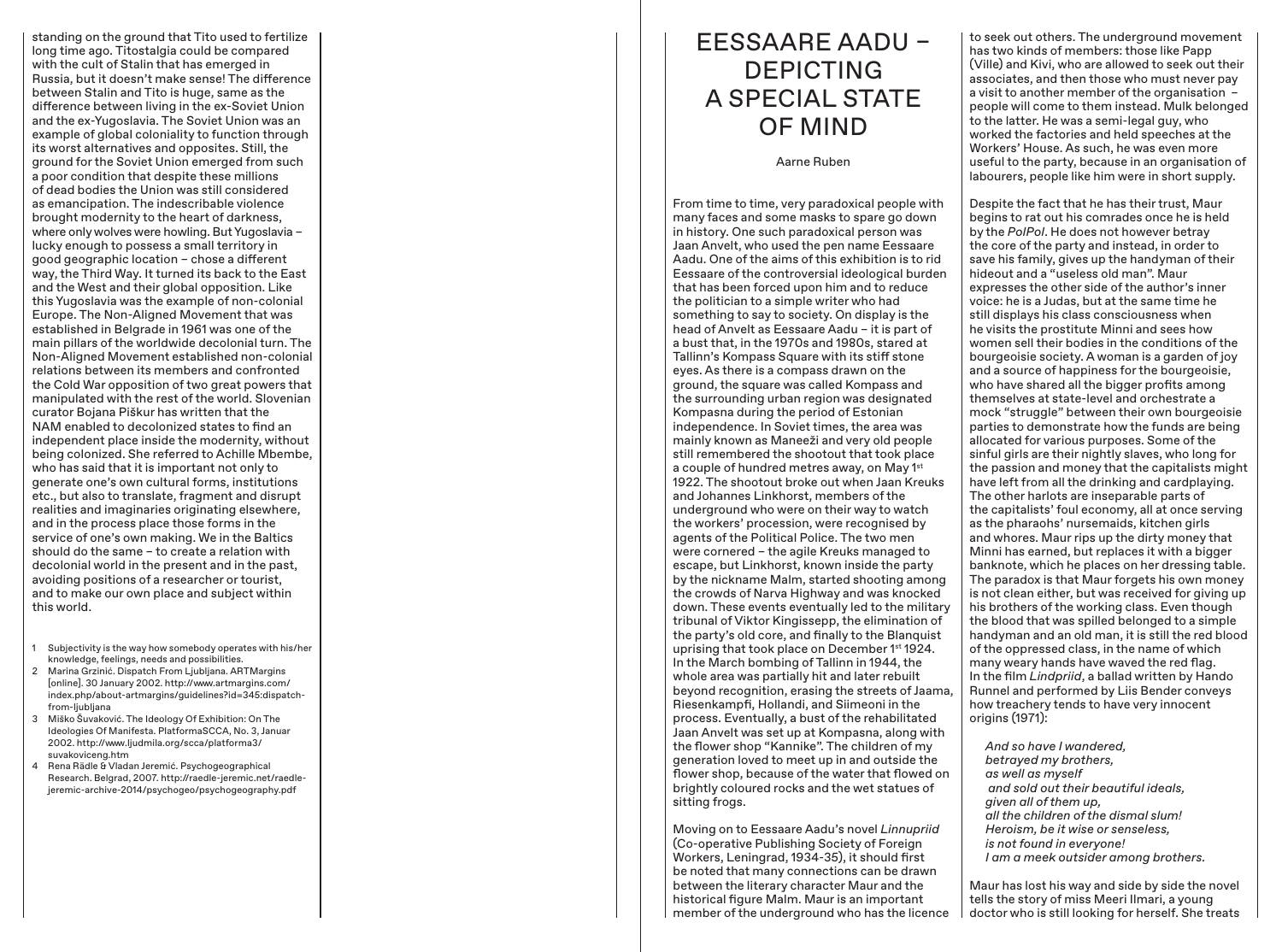# EESSAARE AADU – DEPICTING A SPECIAL STATE OF MIND

Aarne Ruben

From time to time, very paradoxical people with many faces and some masks to spare go down in history. One such paradoxical person was Jaan Anvelt, who used the pen name Eessaare Aadu. One of the aims of this exhibition is to rid Eessaare of the controversial ideological burden that has been forced upon him and to reduce the politician to a simple writer who had something to say to society. On display is the head of Anvelt as Eessaare Aadu – it is part of a bust that, in the 1970s and 1980s, stared at Tallinn's Kompass Square with its stiff stone eyes. As there is a compass drawn on the ground, the square was called Kompass and the surrounding urban region was designated Kompasna during the period of Estonian independence. In Soviet times, the area was mainly known as Maneeži and very old people still remembered the shootout that took place a couple of hundred metres away, on May 1<sup>st</sup> 1922. The shootout broke out when Jaan Kreuks and Johannes Linkhorst, members of the underground who were on their way to watch the workers' procession, were recognised by agents of the Political Police. The two men were cornered – the agile Kreuks managed to escape, but Linkhorst, known inside the party by the nickname Malm, started shooting among the crowds of Narva Highway and was knocked down. These events eventually led to the military tribunal of Viktor Kingissepp, the elimination of the party's old core, and finally to the Blanquist uprising that took place on December 1st 1924. In the March bombing of Tallinn in 1944, the whole area was partially hit and later rebuilt beyond recognition, erasing the streets of Jaama, Riesenkampfi, Hollandi, and Siimeoni in the process. Eventually, a bust of the rehabilitated Jaan Anvelt was set up at Kompasna, along with the flower shop "Kannike". The children of my generation loved to meet up in and outside the flower shop, because of the water that flowed on brightly coloured rocks and the wet statues of sitting frogs.

Moving on to Eessaare Aadu's novel *Linnupriid* (Co-operative Publishing Society of Foreign Workers, Leningrad, 1934-35), it should first be noted that many connections can be drawn between the literary character Maur and the historical figure Malm. Maur is an important member of the underground who has the licence

to seek out others. The underground movement has two kinds of members: those like Papp (Ville) and Kivi, who are allowed to seek out their associates, and then those who must never pay a visit to another member of the organisation – people will come to them instead. Mulk belonged to the latter. He was a semi-legal guy, who worked the factories and held speeches at the Workers' House. As such, he was even more useful to the party, because in an organisation of labourers, people like him were in short supply.

Despite the fact that he has their trust, Maur begins to rat out his comrades once he is held by the *PolPol*. He does not however betray the core of the party and instead, in order to save his family, gives up the handyman of their hideout and a "useless old man". Maur expresses the other side of the author's inner voice: he is a Judas, but at the same time he still displays his class consciousness when he visits the prostitute Minni and sees how women sell their bodies in the conditions of the bourgeoisie society. A woman is a garden of joy and a source of happiness for the bourgeoisie, who have shared all the bigger profits among themselves at state-level and orchestrate a mock "struggle" between their own bourgeoisie parties to demonstrate how the funds are being allocated for various purposes. Some of the sinful girls are their nightly slaves, who long for the passion and money that the capitalists might have left from all the drinking and cardplaying. The other harlots are inseparable parts of the capitalists' foul economy, all at once serving as the pharaohs' nursemaids, kitchen girls and whores. Maur rips up the dirty money that Minni has earned, but replaces it with a bigger banknote, which he places on her dressing table. The paradox is that Maur forgets his own money is not clean either, but was received for giving up his brothers of the working class. Even though the blood that was spilled belonged to a simple handyman and an old man, it is still the red blood of the oppressed class, in the name of which many weary hands have waved the red flag. In the film *Lindpriid*, a ballad written by Hando Runnel and performed by Liis Bender conveys how treachery tends to have very innocent

origins (1971):

*And so have I wandered, betrayed my brothers, as well as myself and sold out their beautiful ideals, given all of them up, all the children of the dismal slum! Heroism, be it wise or senseless, is not found in everyone! I am a meek outsider among brothers.*

Maur has lost his way and side by side the novel tells the story of miss Meeri Ilmari, a young doctor who is still looking for herself. She treats

standing on the ground that Tito used to fertilize long time ago. Titostalgia could be compared with the cult of Stalin that has emerged in Russia, but it doesn't make sense! The difference between Stalin and Tito is huge, same as the difference between living in the ex-Soviet Union and the ex-Yugoslavia. The Soviet Union was an example of global coloniality to function through its worst alternatives and opposites. Still, the ground for the Soviet Union emerged from such a poor condition that despite these millions of dead bodies the Union was still considered as emancipation. The indescribable violence brought modernity to the heart of darkness, where only wolves were howling. But Yugoslavia – lucky enough to possess a small territory in good geographic location – chose a different way, the Third Way. It turned its back to the East and the West and their global opposition. Like this Yugoslavia was the example of non-colonial Europe. The Non-Aligned Movement that was established in Belgrade in 1961 was one of the main pillars of the worldwide decolonial turn. The Non-Aligned Movement established non-colonial relations between its members and confronted the Cold War opposition of two great powers that manipulated with the rest of the world. Slovenian curator Bojana Piškur has written that the NAM enabled to decolonized states to find an independent place inside the modernity, without being colonized. She referred to Achille Mbembe, who has said that it is important not only to generate one's own cultural forms, institutions etc., but also to translate, fragment and disrupt realities and imaginaries originating elsewhere, and in the process place those forms in the service of one's own making. We in the Baltics should do the same – to create a relation with decolonial world in the present and in the past, avoiding positions of a researcher or tourist, and to make our own place and subject within this world.

- 1 Subjectivity is the way how somebody operates with his/her knowledge, feelings, needs and possibilities.
- 2 Marina Grzini ć. Dispatch From Ljubljana. ARTMargins [online]. 30 January 2002. http://www.artmargins.com/ index.php/about-artmargins/guidelines?id=345:dispatchfrom-ljubljana
- 3 Miško Šuvakovi ć. The Ideology Of Exhibition: On The Ideologies Of Manifesta. PlatformaSCCA, No. 3, Januar 2002. http://www.ljudmila.org/scca/platforma3/ suvakoviceng.htm
- 4 Rena Rädle & Vladan Jeremić. Psychogeographical Research. Belgrad, 2007. http://raedle-jeremic.net/raedlejeremic-archive-2014/psychogeo/psychogeography.pdf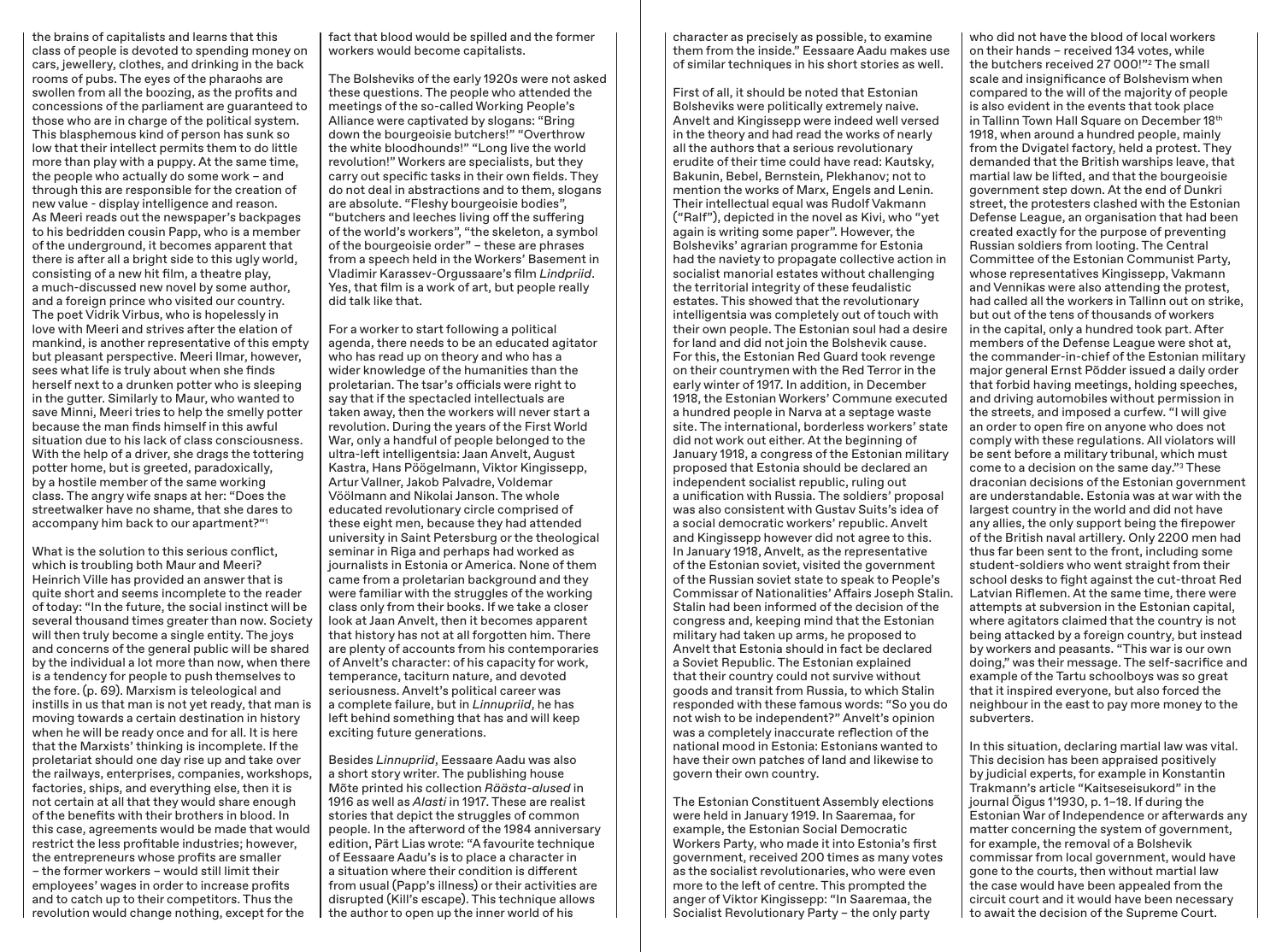character as precisely as possible, to examine them from the inside." Eessaare Aadu makes use of similar techniques in his short stories as well.

First of all, it should be noted that Estonian Bolsheviks were politically extremely naive. Anvelt and Kingissepp were indeed well versed in the theory and had read the works of nearly all the authors that a serious revolutionary erudite of their time could have read: Kautsky, Bakunin, Bebel, Bernstein, Plekhanov; not to mention the works of Marx, Engels and Lenin. Their intellectual equal was Rudolf Vakmann ("Ralf"), depicted in the novel as Kivi, who "yet again is writing some paper". However, the Bolsheviks' agrarian programme for Estonia had the naviety to propagate collective action in socialist manorial estates without challenging the territorial integrity of these feudalistic estates. This showed that the revolutionary intelligentsia was completely out of touch with their own people. The Estonian soul had a desire for land and did not join the Bolshevik cause. For this, the Estonian Red Guard took revenge on their countrymen with the Red Terror in the early winter of 1917. In addition, in December 1918, the Estonian Workers' Commune executed a hundred people in Narva at a septage waste site. The international, borderless workers' state did not work out either. At the beginning of January 1918, a congress of the Estonian military proposed that Estonia should be declared an independent socialist republic, ruling out a unification with Russia. The soldiers' proposal was also consistent with Gustav Suits's idea of a social democratic workers' republic. Anvelt and Kingissepp however did not agree to this. In January 1918, Anvelt, as the representative of the Estonian soviet, visited the government of the Russian soviet state to speak to People's Commissar of Nationalities' Affairs Joseph Stalin. Stalin had been informed of the decision of the congress and, keeping mind that the Estonian military had taken up arms, he proposed to Anvelt that Estonia should in fact be declared a Soviet Republic. The Estonian explained that their country could not survive without goods and transit from Russia, to which Stalin responded with these famous words: "So you do not wish to be independent?" Anvelt's opinion was a completely inaccurate reflection of the national mood in Estonia: Estonians wanted to have their own patches of land and likewise to govern their own country.

The Estonian Constituent Assembly elections were held in January 1919. In Saaremaa, for example, the Estonian Social Democratic Workers Party, who made it into Estonia's first government, received 200 times as many votes as the socialist revolutionaries, who were even more to the left of centre. This prompted the anger of Viktor Kingissepp: "In Saaremaa, the Socialist Revolutionary Party – the only party

who did not have the blood of local workers on their hands – received 134 votes, while the butchers received 27 000!"2 The small scale and insignificance of Bolshevism when compared to the will of the majority of people is also evident in the events that took place in Tallinn Town Hall Square on December 18th 1918, when around a hundred people, mainly from the Dvigatel factory, held a protest. They demanded that the British warships leave, that martial law be lifted, and that the bourgeoisie government step down. At the end of Dunkri street, the protesters clashed with the Estonian Defense League, an organisation that had been created exactly for the purpose of preventing Russian soldiers from looting. The Central Committee of the Estonian Communist Party, whose representatives Kingissepp, Vakmann and Vennikas were also attending the protest, had called all the workers in Tallinn out on strike, but out of the tens of thousands of workers in the capital, only a hundred took part. After members of the Defense League were shot at, the commander-in-chief of the Estonian military major general Ernst Põdder issued a daily order that forbid having meetings, holding speeches, and driving automobiles without permission in the streets, and imposed a curfew. "I will give an order to open fire on anyone who does not comply with these regulations. All violators will be sent before a military tribunal, which must come to a decision on the same day."3 These draconian decisions of the Estonian government are understandable. Estonia was at war with the largest country in the world and did not have any allies, the only support being the firepower of the British naval artillery. Only 2200 men had thus far been sent to the front, including some student-soldiers who went straight from their school desks to fight against the cut-throat Red Latvian Riflemen. At the same time, there were attempts at subversion in the Estonian capital, where agitators claimed that the country is not being attacked by a foreign country, but instead by workers and peasants. "This war is our own doing," was their message. The self-sacrifice and example of the Tartu schoolboys was so great that it inspired everyone, but also forced the neighbour in the east to pay more money to the

subverters.

In this situation, declaring martial law was vital. This decision has been appraised positively by judicial experts, for example in Konstantin Trakmann's article "Kaitseseisukord" in the journal Õigus 1'1930, p. 1–18. If during the Estonian War of Independence or afterwards any matter concerning the system of government, for example, the removal of a Bolshevik commissar from local government, would have gone to the courts, then without martial law the case would have been appealed from the circuit court and it would have been necessary to await the decision of the Supreme Court.

the brains of capitalists and learns that this class of people is devoted to spending money on cars, jewellery, clothes, and drinking in the back rooms of pubs. The eyes of the pharaohs are swollen from all the boozing, as the profits and concessions of the parliament are guaranteed to those who are in charge of the political system. This blasphemous kind of person has sunk so low that their intellect permits them to do little more than play with a puppy. At the same time, the people who actually do some work – and through this are responsible for the creation of new value - display intelligence and reason. As Meeri reads out the newspaper's backpages to his bedridden cousin Papp, who is a member of the underground, it becomes apparent that there is after all a bright side to this ugly world, consisting of a new hit film, a theatre play, a much-discussed new novel by some author, and a foreign prince who visited our country. The poet Vidrik Virbus, who is hopelessly in love with Meeri and strives after the elation of mankind, is another representative of this empty but pleasant perspective. Meeri Ilmar, however, sees what life is truly about when she finds herself next to a drunken potter who is sleeping in the gutter. Similarly to Maur, who wanted to save Minni, Meeri tries to help the smelly potter because the man finds himself in this awful situation due to his lack of class consciousness. With the help of a driver, she drags the tottering potter home, but is greeted, paradoxically, by a hostile member of the same working class. The angry wife snaps at her: "Does the streetwalker have no shame, that she dares to accompany him back to our apartment?"1

What is the solution to this serious conflict, which is troubling both Maur and Meeri? Heinrich Ville has provided an answer that is quite short and seems incomplete to the reader of today: "In the future, the social instinct will be several thousand times greater than now. Society will then truly become a single entity. The joys and concerns of the general public will be shared by the individual a lot more than now, when there is a tendency for people to push themselves to the fore. (p. 69). Marxism is teleological and instills in us that man is not yet ready, that man is moving towards a certain destination in history when he will be ready once and for all. It is here that the Marxists' thinking is incomplete. If the proletariat should one day rise up and take over the railways, enterprises, companies, workshops, factories, ships, and everything else, then it is not certain at all that they would share enough of the benefits with their brothers in blood. In this case, agreements would be made that would restrict the less profitable industries; however, the entrepreneurs whose profits are smaller – the former workers – would still limit their employees' wages in order to increase profits and to catch up to their competitors. Thus the revolution would change nothing, except for the

fact that blood would be spilled and the former workers would become capitalists.

The Bolsheviks of the early 1920s were not asked these questions. The people who attended the meetings of the so-called Working People's Alliance were captivated by slogans: "Bring down the bourgeoisie butchers!" "Overthrow the white bloodhounds!" "Long live the world revolution!" Workers are specialists, but they carry out specific tasks in their own fields. They do not deal in abstractions and to them, slogans are absolute. "Fleshy bourgeoisie bodies", "butchers and leeches living off the suffering of the world's workers", "the skeleton, a symbol of the bourgeoisie order" – these are phrases from a speech held in the Workers' Basement in Vladimir Karassev-Orgussaare's film *Lindpriid*. Yes, that film is a work of art, but people really did talk like that.

For a worker to start following a political agenda, there needs to be an educated agitator who has read up on theory and who has a wider knowledge of the humanities than the proletarian. The tsar's officials were right to say that if the spectacled intellectuals are taken away, then the workers will never start a revolution. During the years of the First World War, only a handful of people belonged to the ultra-left intelligentsia: Jaan Anvelt, August Kastra, Hans Pöögelmann, Viktor Kingissepp, Artur Vallner, Jakob Palvadre, Voldemar Vöölmann and Nikolai Janson. The whole educated revolutionary circle comprised of these eight men, because they had attended university in Saint Petersburg or the theological seminar in Riga and perhaps had worked as journalists in Estonia or America. None of them came from a proletarian background and they were familiar with the struggles of the working class only from their books. If we take a closer look at Jaan Anvelt, then it becomes apparent that history has not at all forgotten him. There are plenty of accounts from his contemporaries of Anvelt's character: of his capacity for work, temperance, taciturn nature, and devoted seriousness. Anvelt's political career was a complete failure, but in *Linnupriid*, he has left behind something that has and will keep exciting future generations.

Besides *Linnupriid*, Eessaare Aadu was also a short story writer. The publishing house Mõte printed his collection *Räästa-alused* in 1916 as well as *Alasti* in 1917. These are realist stories that depict the struggles of common people. In the afterword of the 1984 anniversary edition, Pärt Lias wrote: "A favourite technique of Eessaare Aadu's is to place a character in a situation where their condition is different from usual (Papp's illness) or their activities are disrupted (Kill's escape). This technique allows the author to open up the inner world of his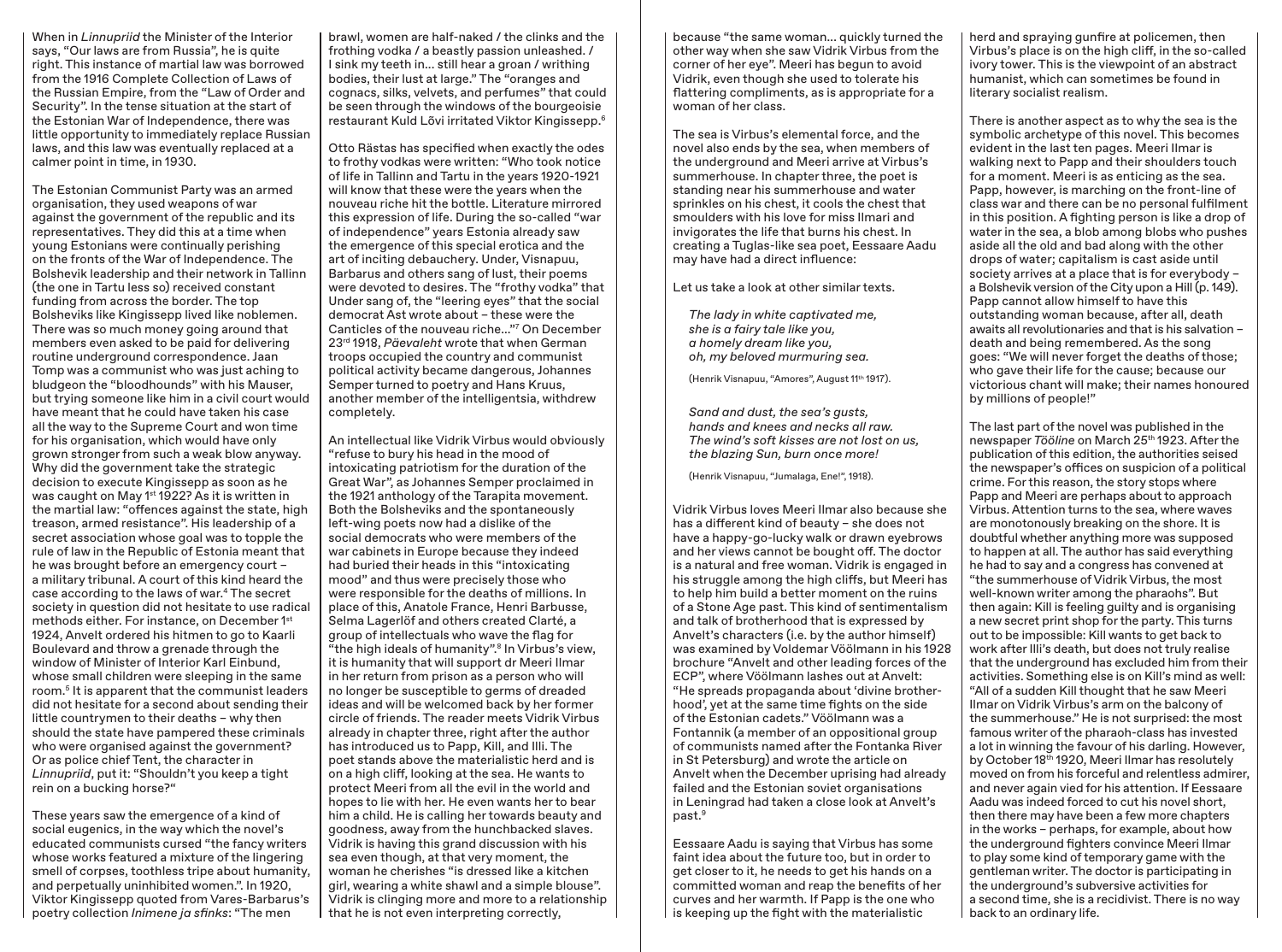because "the same woman... quickly turned the other way when she saw Vidrik Virbus from the corner of her eye". Meeri has begun to avoid Vidrik, even though she used to tolerate his flattering compliments, as is appropriate for a woman of her class.

The sea is Virbus's elemental force, and the novel also ends by the sea, when members of the underground and Meeri arrive at Virbus's summerhouse. In chapter three, the poet is standing near his summerhouse and water sprinkles on his chest, it cools the chest that smoulders with his love for miss Ilmari and invigorates the life that burns his chest. In creating a Tuglas-like sea poet, Eessaare Aadu may have had a direct influence:

Let us take a look at other similar texts.

*The lady in white captivated me, she is a fairy tale like you, a homely dream like you, oh, my beloved murmuring sea.*

(Henrik Visnapuu, "Amores", August 11th 1917).

*Sand and dust, the sea's gusts, hands and knees and necks all raw. The wind's soft kisses are not lost on us, the blazing Sun, burn once more!*

(Henrik Visnapuu, "Jumalaga, Ene!", 1918).

Vidrik Virbus loves Meeri Ilmar also because she has a different kind of beauty – she does not have a happy-go-lucky walk or drawn eyebrows and her views cannot be bought off. The doctor is a natural and free woman. Vidrik is engaged in his struggle among the high cliffs, but Meeri has to help him build a better moment on the ruins of a Stone Age past. This kind of sentimentalism and talk of brotherhood that is expressed by Anvelt's characters (i.e. by the author himself) was examined by Voldemar Vöölmann in his 1928 brochure "Anvelt and other leading forces of the ECP", where Vöölmann lashes out at Anvelt: "He spreads propaganda about 'divine brotherhood', yet at the same time fights on the side of the Estonian cadets." Vöölmann was a Fontannik (a member of an oppositional group of communists named after the Fontanka River in St Petersburg) and wrote the article on Anvelt when the December uprising had already failed and the Estonian soviet organisations in Leningrad had taken a close look at Anvelt's past.9

Eessaare Aadu is saying that Virbus has some faint idea about the future too, but in order to get closer to it, he needs to get his hands on a committed woman and reap the benefits of her curves and her warmth. If Papp is the one who is keeping up the fight with the materialistic

herd and spraying gunfire at policemen, then Virbus's place is on the high cliff, in the so-called ivory tower. This is the viewpoint of an abstract humanist, which can sometimes be found in literary socialist realism.

There is another aspect as to why the sea is the symbolic archetype of this novel. This becomes evident in the last ten pages. Meeri Ilmar is walking next to Papp and their shoulders touch for a moment. Meeri is as enticing as the sea. Papp, however, is marching on the front-line of class war and there can be no personal fulfilment in this position. A fighting person is like a drop of water in the sea, a blob among blobs who pushes aside all the old and bad along with the other drops of water; capitalism is cast aside until society arrives at a place that is for everybody – a Bolshevik version of the City upon a Hill (p. 149). Papp cannot allow himself to have this outstanding woman because, after all, death awaits all revolutionaries and that is his salvation – death and being remembered. As the song goes: "We will never forget the deaths of those; who gave their life for the cause; because our victorious chant will make; their names honoured by millions of people!"

The last part of the novel was published in the newspaper *Tööline* on March 25th 1923. After the publication of this edition, the authorities seised the newspaper's offices on suspicion of a political crime. For this reason, the story stops where Papp and Meeri are perhaps about to approach Virbus. Attention turns to the sea, where waves are monotonously breaking on the shore. It is doubtful whether anything more was supposed to happen at all. The author has said everything he had to say and a congress has convened at "the summerhouse of Vidrik Virbus, the most well-known writer among the pharaohs". But then again: Kill is feeling guilty and is organising a new secret print shop for the party. This turns out to be impossible: Kill wants to get back to work after Illi's death, but does not truly realise that the underground has excluded him from their activities. Something else is on Kill's mind as well: "All of a sudden Kill thought that he saw Meeri Ilmar on Vidrik Virbus's arm on the balcony of the summerhouse." He is not surprised: the most famous writer of the pharaoh-class has invested a lot in winning the favour of his darling. However, by October 18<sup>th</sup> 1920, Meeri Ilmar has resolutely moved on from his forceful and relentless admirer, and never again vied for his attention. If Eessaare Aadu was indeed forced to cut his novel short, then there may have been a few more chapters in the works – perhaps, for example, about how the underground fighters convince Meeri Ilmar to play some kind of temporary game with the gentleman writer. The doctor is participating in the underground's subversive activities for a second time, she is a recidivist. There is no way back to an ordinary life.

When in *Linnupriid* the Minister of the Interior says, "Our laws are from Russia", he is quite right. This instance of martial law was borrowed from the 1916 Complete Collection of Laws of the Russian Empire, from the "Law of Order and Security". In the tense situation at the start of the Estonian War of Independence, there was little opportunity to immediately replace Russian laws, and this law was eventually replaced at a calmer point in time, in 1930.

The Estonian Communist Party was an armed organisation, they used weapons of war against the government of the republic and its representatives. They did this at a time when young Estonians were continually perishing on the fronts of the War of Independence. The Bolshevik leadership and their network in Tallinn (the one in Tartu less so) received constant funding from across the border. The top Bolsheviks like Kingissepp lived like noblemen. There was so much money going around that members even asked to be paid for delivering routine underground correspondence. Jaan Tomp was a communist who was just aching to bludgeon the "bloodhounds" with his Mauser, but trying someone like him in a civil court would have meant that he could have taken his case all the way to the Supreme Court and won time for his organisation, which would have only grown stronger from such a weak blow anyway. Why did the government take the strategic decision to execute Kingissepp as soon as he was caught on May 1<sup>st</sup> 1922? As it is written in the martial law: "offences against the state, high treason, armed resistance". His leadership of a secret association whose goal was to topple the rule of law in the Republic of Estonia meant that he was brought before an emergency court – a military tribunal. A court of this kind heard the case according to the laws of war.4 The secret society in question did not hesitate to use radical methods either. For instance, on December 1st 1924, Anvelt ordered his hitmen to go to Kaarli Boulevard and throw a grenade through the window of Minister of Interior Karl Einbund, whose small children were sleeping in the same room.5 It is apparent that the communist leaders did not hesitate for a second about sending their little countrymen to their deaths – why then should the state have pampered these criminals who were organised against the government? Or as police chief Tent, the character in *Linnupriid*, put it: "Shouldn't you keep a tight rein on a bucking horse?"

These years saw the emergence of a kind of social eugenics, in the way which the novel's educated communists cursed "the fancy writers whose works featured a mixture of the lingering smell of corpses, toothless tripe about humanity, and perpetually uninhibited women.". In 1920, Viktor Kingissepp quoted from Vares-Barbarus's poetry collection *Inimene ja sfinks*: "The men

brawl, women are half-naked / the clinks and the frothing vodka / a beastly passion unleashed. / I sink my teeth in... still hear a groan / writhing bodies, their lust at large." The "oranges and cognacs, silks, velvets, and perfumes" that could be seen through the windows of the bourgeoisie restaurant Kuld Lõvi irritated Viktor Kingissepp.6

Otto Rästas has specified when exactly the odes to frothy vodkas were written: "Who took notice of life in Tallinn and Tartu in the years 1920-1921 will know that these were the years when the nouveau riche hit the bottle. Literature mirrored this expression of life. During the so-called "war of independence" years Estonia already saw the emergence of this special erotica and the art of inciting debauchery. Under, Visnapuu, Barbarus and others sang of lust, their poems were devoted to desires. The "frothy vodka" that Under sang of, the "leering eyes" that the social democrat Ast wrote about – these were the Canticles of the nouveau riche..."7 On December 23rd 1918, *Päevaleht* wrote that when German troops occupied the country and communist political activity became dangerous, Johannes Semper turned to poetry and Hans Kruus, another member of the intelligentsia, withdrew completely.

An intellectual like Vidrik Virbus would obviously "refuse to bury his head in the mood of intoxicating patriotism for the duration of the Great War", as Johannes Semper proclaimed in the 1921 anthology of the Tarapita movement. Both the Bolsheviks and the spontaneously left-wing poets now had a dislike of the social democrats who were members of the war cabinets in Europe because they indeed had buried their heads in this "intoxicating mood" and thus were precisely those who were responsible for the deaths of millions. In place of this, Anatole France, Henri Barbusse, Selma Lagerlöf and others created Clarté, a group of intellectuals who wave the flag for "the high ideals of humanity".<sup>8</sup> In Virbus's view, it is humanity that will support dr Meeri Ilmar in her return from prison as a person who will no longer be susceptible to germs of dreaded ideas and will be welcomed back by her former circle of friends. The reader meets Vidrik Virbus already in chapter three, right after the author has introduced us to Papp, Kill, and Illi. The poet stands above the materialistic herd and is on a high cliff, looking at the sea. He wants to protect Meeri from all the evil in the world and hopes to lie with her. He even wants her to bear him a child. He is calling her towards beauty and goodness, away from the hunchbacked slaves. Vidrik is having this grand discussion with his sea even though, at that very moment, the woman he cherishes "is dressed like a kitchen girl, wearing a white shawl and a simple blouse". Vidrik is clinging more and more to a relationship that he is not even interpreting correctly,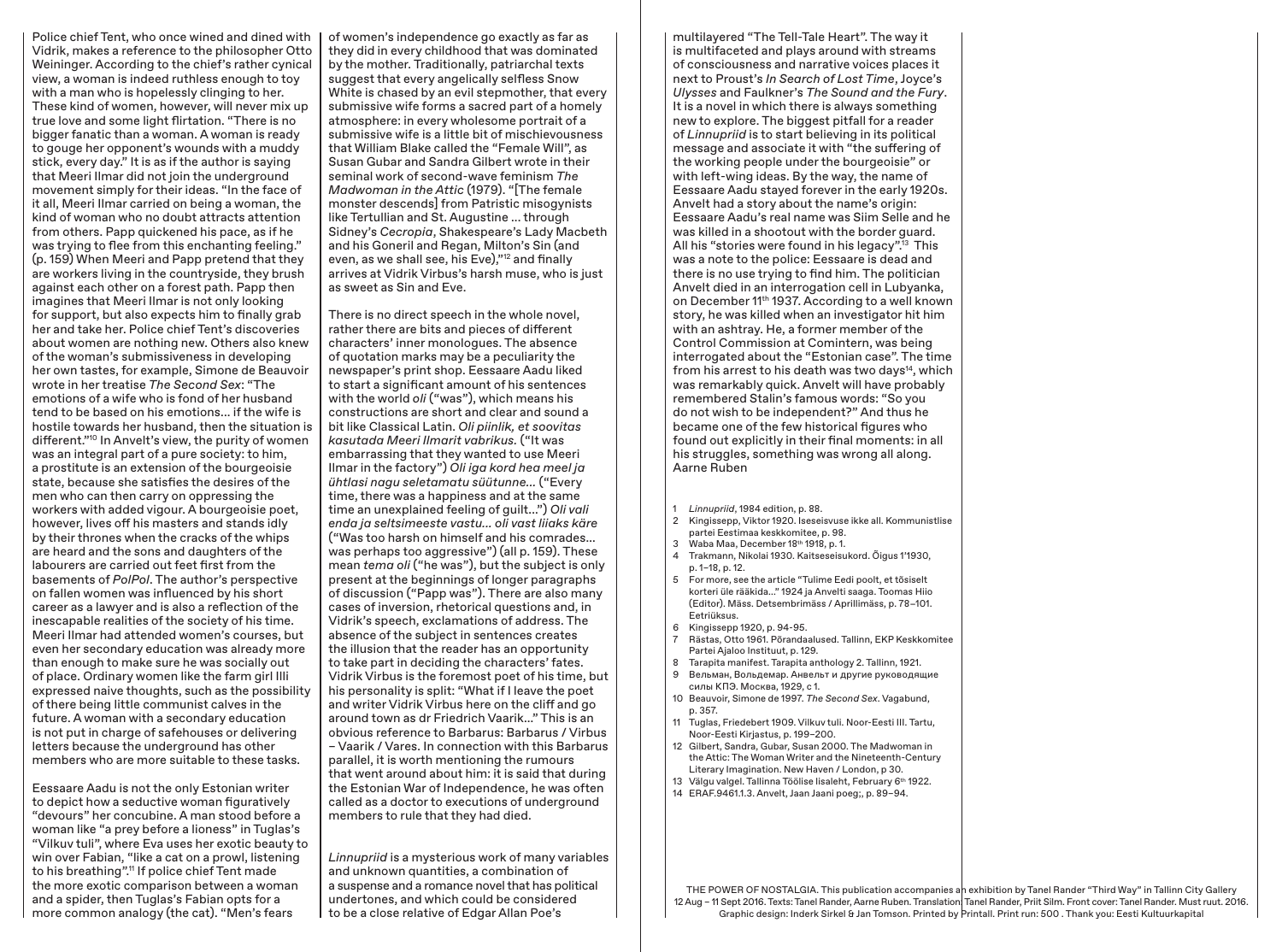multilayered "The Tell-Tale Heart". The way it is multifaceted and plays around with streams of consciousness and narrative voices places it next to Proust's *In Search of Lost Time*, Joyce's *Ulysses* and Faulkner's *The Sound and the Fury*. It is a novel in which there is always something new to explore. The biggest pitfall for a reader of *Linnupriid* is to start believing in its political message and associate it with "the suffering of the working people under the bourgeoisie" or with left-wing ideas. By the way, the name of Eessaare Aadu stayed forever in the early 1920s. Anvelt had a story about the name's origin: Eessaare Aadu's real name was Siim Selle and he was killed in a shootout with the border guard. All his "stories were found in his legacy".<sup>13</sup> This was a note to the police: Eessaare is dead and there is no use trying to find him. The politician Anvelt died in an interrogation cell in Lubyanka, on December 11th 1937. According to a well known story, he was killed when an investigator hit him with an ashtray. He, a former member of the Control Commission at Comintern, was being interrogated about the "Estonian case". The time from his arrest to his death was two days $14$ , which was remarkably quick. Anvelt will have probably remembered Stalin's famous words: "So you do not wish to be independent?" And thus he became one of the few historical figures who found out explicitly in their final moments: in all his struggles, something was wrong all along. Aarne Ruben

- 2 Kingissepp, Viktor 1920. Iseseisvuse ikke all. Kommunistlise partei Eestimaa keskkomitee, p. 98.
- 3 Waba Maa, December 18th 1918, p. 1.
- 4 Trakmann, Nikolai 1930. Kaitseseisukord. Õigus 1'1930, p. 1–18, p. 12.
- 5 For more, see the article "Tulime Eedi poolt, et tõsiselt korteri üle rääkida..." 1924 ja Anvelti saaga. Toomas Hiio (Editor). Mäss. Detsembrimäss / Aprillimäss, p. 78−101. Eetriüksus.
- 6 Kingissepp 1920, p. 94-95.
- 7 Rästas, Otto 1961. Põrandaalused. Tallinn, EKP Keskkomitee Partei Ajaloo Instituut, p. 129.
- 8 Tarapita manifest. Tarapita anthology 2. Tallinn, 1921.
- 9 Вельман, Вольдемар. Анвельт и другие руководящие силы КПЭ. Москва, 1929, c 1.
- 10 Beauvoir, Simone de 1997. *The Second Sex*. Vagabund, p. 357.
- 11 Tuglas, Friedebert 1909. Vilkuv tuli. Noor-Eesti III. Tartu, Noor-Eesti Kirjastus, p. 199–200.
- 12 Gilbert, Sandra, Gubar, Susan 2000. The Madwoman in the Attic: The Woman Writer and the Nineteenth-Century Literary Imagination. New Haven / London, p 30.
- 13 Välgu valgel. Tallinna Töölise lisaleht, February 6th 1922.
- 14 ERAF.9461.1.3. Anvelt, Jaan Jaani poeg;, p. 89–94.

Police chief Tent, who once wined and dined with Vidrik, makes a reference to the philosopher Otto Weininger. According to the chief's rather cynical view, a woman is indeed ruthless enough to toy with a man who is hopelessly clinging to her. These kind of women, however, will never mix up true love and some light flirtation. "There is no bigger fanatic than a woman. A woman is ready to gouge her opponent's wounds with a muddy stick, every day." It is as if the author is saying that Meeri Ilmar did not join the underground movement simply for their ideas. "In the face of it all, Meeri Ilmar carried on being a woman, the kind of woman who no doubt attracts attention from others. Papp quickened his pace, as if he was trying to flee from this enchanting feeling." (p. 159) When Meeri and Papp pretend that they are workers living in the countryside, they brush against each other on a forest path. Papp then imagines that Meeri Ilmar is not only looking for support, but also expects him to finally grab her and take her. Police chief Tent's discoveries about women are nothing new. Others also knew of the woman's submissiveness in developing her own tastes, for example, Simone de Beauvoir wrote in her treatise *The Second Sex*: "The emotions of a wife who is fond of her husband tend to be based on his emotions... if the wife is hostile towards her husband, then the situation is different."10 In Anvelt's view, the purity of women was an integral part of a pure society: to him, a prostitute is an extension of the bourgeoisie state, because she satisfies the desires of the men who can then carry on oppressing the workers with added vigour. A bourgeoisie poet, however, lives off his masters and stands idly by their thrones when the cracks of the whips are heard and the sons and daughters of the labourers are carried out feet first from the basements of *PolPol*. The author's perspective on fallen women was influenced by his short career as a lawyer and is also a reflection of the inescapable realities of the society of his time. Meeri Ilmar had attended women's courses, but even her secondary education was already more than enough to make sure he was socially out of place. Ordinary women like the farm girl Illi expressed naive thoughts, such as the possibility of there being little communist calves in the future. A woman with a secondary education is not put in charge of safehouses or delivering letters because the underground has other members who are more suitable to these tasks.

> THE POWER OF NOSTALGIA. This publication accompanies an exhibition by Tanel Rander "Third Way" in Tallinn City Gallery 12 Aug – 11 Sept 2016. Texts: Tanel Rander, Aarne Ruben. Translation: Tanel Rander, Priit Silm. Front cover: Tanel Rander. Must ruut. 2016. Graphic design: Inderk Sirkel & Jan Tomson. Printed by Printall. Print run: 500 . Thank you: Eesti Kultuurkapital

Eessaare Aadu is not the only Estonian writer to depict how a seductive woman figuratively "devours" her concubine. A man stood before a woman like "a prey before a lioness" in Tuglas's "Vilkuv tuli", where Eva uses her exotic beauty to win over Fabian, "like a cat on a prowl, listening to his breathing".11 If police chief Tent made the more exotic comparison between a woman and a spider, then Tuglas's Fabian opts for a more common analogy (the cat). "Men's fears

of women's independence go exactly as far as they did in every childhood that was dominated by the mother. Traditionally, patriarchal texts suggest that every angelically selfless Snow White is chased by an evil stepmother, that every submissive wife forms a sacred part of a homely atmosphere: in every wholesome portrait of a submissive wife is a little bit of mischievousness that William Blake called the "Female Will", as Susan Gubar and Sandra Gilbert wrote in their seminal work of second-wave feminism *The Madwoman in the Attic* (1979). "[The female monster descends] from Patristic misogynists like Tertullian and St. Augustine ... through Sidney's *Cecropia*, Shakespeare's Lady Macbeth and his Goneril and Regan, Milton's Sin (and even, as we shall see, his Eve),"12 and finally arrives at Vidrik Virbus's harsh muse, who is just as sweet as Sin and Eve.

There is no direct speech in the whole novel, rather there are bits and pieces of different characters' inner monologues. The absence of quotation marks may be a peculiarity the newspaper's print shop. Eessaare Aadu liked to start a significant amount of his sentences with the world *oli* ("was"), which means his constructions are short and clear and sound a bit like Classical Latin. *Oli piinlik, et soovitas kasutada Meeri Ilmarit vabrikus.* ("It was embarrassing that they wanted to use Meeri Ilmar in the factory") *Oli iga kord hea meel ja ühtlasi nagu seletamatu süütunne...* ("Every time, there was a happiness and at the same time an unexplained feeling of guilt...") *Oli vali enda ja seltsimeeste vastu... oli vast liiaks käre*  ("Was too harsh on himself and his comrades... was perhaps too aggressive") (all p. 159). These mean *tema oli* ("he was"), but the subject is only present at the beginnings of longer paragraphs of discussion ("Papp was"). There are also many cases of inversion, rhetorical questions and, in Vidrik's speech, exclamations of address. The absence of the subject in sentences creates the illusion that the reader has an opportunity to take part in deciding the characters' fates. Vidrik Virbus is the foremost poet of his time, but his personality is split: "What if I leave the poet and writer Vidrik Virbus here on the cliff and go around town as dr Friedrich Vaarik..." This is an obvious reference to Barbarus: Barbarus / Virbus – Vaarik / Vares. In connection with this Barbarus parallel, it is worth mentioning the rumours that went around about him: it is said that during the Estonian War of Independence, he was often called as a doctor to executions of underground members to rule that they had died.

*Linnupriid* is a mysterious work of many variables and unknown quantities, a combination of a suspense and a romance novel that has political undertones, and which could be considered to be a close relative of Edgar Allan Poe's

<sup>1</sup> *Linnupriid*, 1984 edition, p. 88.